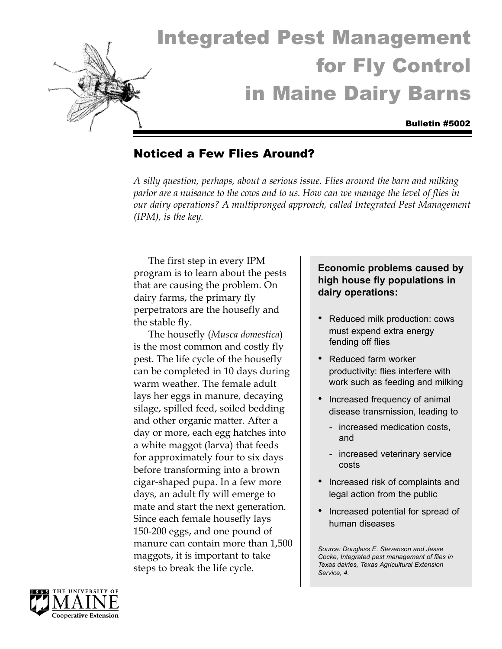

# Integrated Pest Management for Fly Control in Maine Dairy Barns

#### Bulletin #5002

## Noticed a Few Flies Around?

*A silly question, perhaps, about a serious issue. Flies around the barn and milking parlor are a nuisance to the cows and to us. How can we manage the level of flies in our dairy operations? A multipronged approach, called Integrated Pest Management (IPM), is the key.*

The first step in every IPM program is to learn about the pests that are causing the problem. On dairy farms, the primary fly perpetrators are the housefly and the stable fly.

The housefly (*Musca domestica*) is the most common and costly fly pest. The life cycle of the housefly can be completed in 10 days during warm weather. The female adult lays her eggs in manure, decaying silage, spilled feed, soiled bedding and other organic matter. After a day or more, each egg hatches into a white maggot (larva) that feeds for approximately four to six days before transforming into a brown cigar-shaped pupa. In a few more days, an adult fly will emerge to mate and start the next generation. Since each female housefly lays 150-200 eggs, and one pound of manure can contain more than 1,500 maggots, it is important to take steps to break the life cycle.

## **Economic problems caused by high house fly populations in dairy operations:**

- Reduced milk production: cows must expend extra energy fending off flies
- Reduced farm worker productivity: flies interfere with work such as feeding and milking
- Increased frequency of animal disease transmission, leading to
	- increased medication costs, and
	- increased veterinary service costs
- Increased risk of complaints and legal action from the public
- Increased potential for spread of human diseases

*Source: Douglass E. Stevenson and Jesse Cocke, Integrated pest management of flies in Texas dairies, Texas Agricultural Extension Service, 4.*

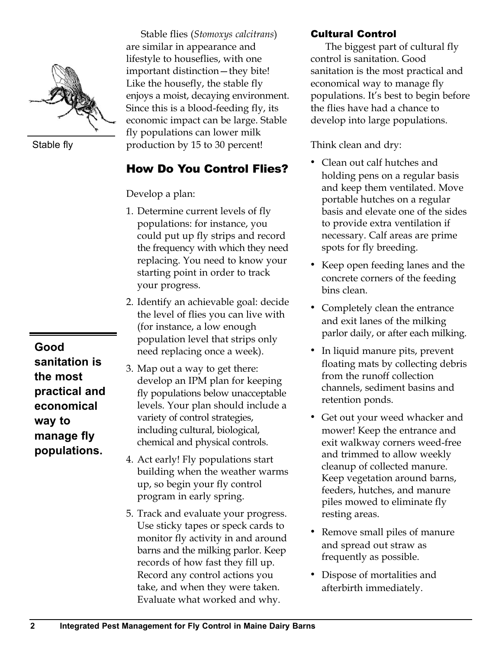

Stable fly

**Good sanitation is the most practical and economical way to manage fly populations.**

Stable flies (*Stomoxys calcitrans*) are similar in appearance and lifestyle to houseflies, with one important distinction—they bite! Like the housefly, the stable fly enjoys a moist, decaying environment. Since this is a blood-feeding fly, its economic impact can be large. Stable fly populations can lower milk production by 15 to 30 percent!

# How Do You Control Flies?

Develop a plan:

- 1. Determine current levels of fly populations: for instance, you could put up fly strips and record the frequency with which they need replacing. You need to know your starting point in order to track your progress.
- 2. Identify an achievable goal: decide the level of flies you can live with (for instance, a low enough population level that strips only need replacing once a week).
- 3. Map out a way to get there: develop an IPM plan for keeping fly populations below unacceptable levels. Your plan should include a variety of control strategies, including cultural, biological, chemical and physical controls.
- 4. Act early! Fly populations start building when the weather warms up, so begin your fly control program in early spring.
- 5. Track and evaluate your progress. Use sticky tapes or speck cards to monitor fly activity in and around barns and the milking parlor. Keep records of how fast they fill up. Record any control actions you take, and when they were taken. Evaluate what worked and why.

## Cultural Control

The biggest part of cultural fly control is sanitation. Good sanitation is the most practical and economical way to manage fly populations. It's best to begin before the flies have had a chance to develop into large populations.

Think clean and dry:

- Clean out calf hutches and holding pens on a regular basis and keep them ventilated. Move portable hutches on a regular basis and elevate one of the sides to provide extra ventilation if necessary. Calf areas are prime spots for fly breeding.
- Keep open feeding lanes and the concrete corners of the feeding bins clean.
- Completely clean the entrance and exit lanes of the milking parlor daily, or after each milking.
- In liquid manure pits, prevent floating mats by collecting debris from the runoff collection channels, sediment basins and retention ponds.
- Get out your weed whacker and mower! Keep the entrance and exit walkway corners weed-free and trimmed to allow weekly cleanup of collected manure. Keep vegetation around barns, feeders, hutches, and manure piles mowed to eliminate fly resting areas.
- Remove small piles of manure and spread out straw as frequently as possible.
- Dispose of mortalities and afterbirth immediately.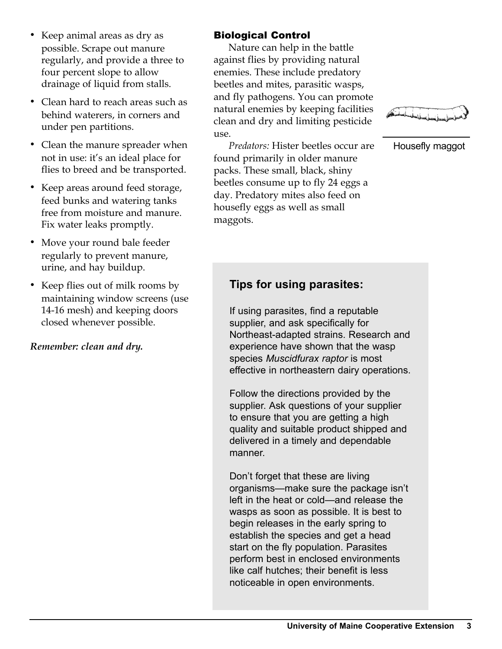- Keep animal areas as dry as possible. Scrape out manure regularly, and provide a three to four percent slope to allow drainage of liquid from stalls.
- Clean hard to reach areas such as behind waterers, in corners and under pen partitions.
- Clean the manure spreader when not in use: it's an ideal place for flies to breed and be transported.
- Keep areas around feed storage, feed bunks and watering tanks free from moisture and manure. Fix water leaks promptly.
- Move your round bale feeder regularly to prevent manure, urine, and hay buildup.
- Keep flies out of milk rooms by maintaining window screens (use 14-16 mesh) and keeping doors closed whenever possible.

## *Remember: clean and dry.*

## Biological Control

Nature can help in the battle against flies by providing natural enemies. These include predatory beetles and mites, parasitic wasps, and fly pathogens. You can promote natural enemies by keeping facilities clean and dry and limiting pesticide use.

*Predators:* Hister beetles occur are found primarily in older manure packs. These small, black, shiny beetles consume up to fly 24 eggs a day. Predatory mites also feed on housefly eggs as well as small maggots.



Housefly maggot

# **Tips for using parasites:**

If using parasites, find a reputable supplier, and ask specifically for Northeast-adapted strains. Research and experience have shown that the wasp species *Muscidfurax raptor* is most effective in northeastern dairy operations.

Follow the directions provided by the supplier. Ask questions of your supplier to ensure that you are getting a high quality and suitable product shipped and delivered in a timely and dependable manner.

Don't forget that these are living organisms—make sure the package isn't left in the heat or cold—and release the wasps as soon as possible. It is best to begin releases in the early spring to establish the species and get a head start on the fly population. Parasites perform best in enclosed environments like calf hutches; their benefit is less noticeable in open environments.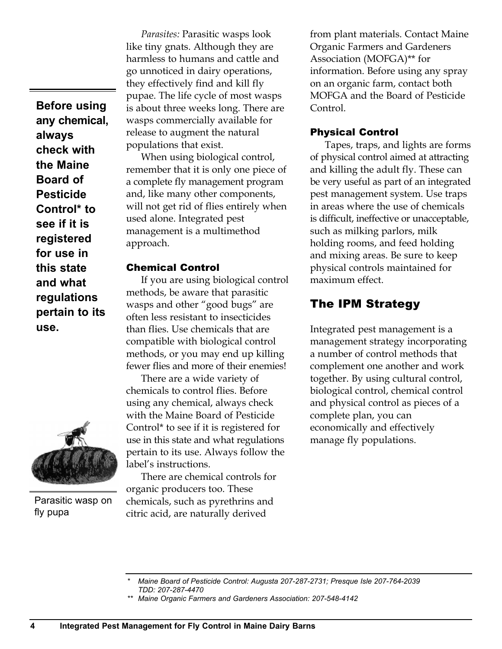**Before using any chemical, always check with the Maine Board of Pesticide Control\* to see if it is registered for use in this state and what regulations pertain to its use.**



Parasitic wasp on fly pupa

*Parasites:* Parasitic wasps look like tiny gnats. Although they are harmless to humans and cattle and go unnoticed in dairy operations, they effectively find and kill fly pupae. The life cycle of most wasps is about three weeks long. There are wasps commercially available for release to augment the natural populations that exist.

When using biological control, remember that it is only one piece of a complete fly management program and, like many other components, will not get rid of flies entirely when used alone. Integrated pest management is a multimethod approach.

#### Chemical Control

If you are using biological control methods, be aware that parasitic wasps and other "good bugs" are often less resistant to insecticides than flies. Use chemicals that are compatible with biological control methods, or you may end up killing fewer flies and more of their enemies!

There are a wide variety of chemicals to control flies. Before using any chemical, always check with the Maine Board of Pesticide Control\* to see if it is registered for use in this state and what regulations pertain to its use. Always follow the label's instructions.

There are chemical controls for organic producers too. These chemicals, such as pyrethrins and citric acid, are naturally derived

from plant materials. Contact Maine Organic Farmers and Gardeners Association (MOFGA)\*\* for information. Before using any spray on an organic farm, contact both MOFGA and the Board of Pesticide Control.

#### Physical Control

Tapes, traps, and lights are forms of physical control aimed at attracting and killing the adult fly. These can be very useful as part of an integrated pest management system. Use traps in areas where the use of chemicals is difficult, ineffective or unacceptable, such as milking parlors, milk holding rooms, and feed holding and mixing areas. Be sure to keep physical controls maintained for maximum effect.

## The IPM Strategy

Integrated pest management is a management strategy incorporating a number of control methods that complement one another and work together. By using cultural control, biological control, chemical control and physical control as pieces of a complete plan, you can economically and effectively manage fly populations.

*<sup>\*</sup> Maine Board of Pesticide Control: Augusta 207-287-2731; Presque Isle 207-764-2039 TDD: 207-287-4470* 

*<sup>\*\*</sup> Maine Organic Farmers and Gardeners Association: 207-548-4142*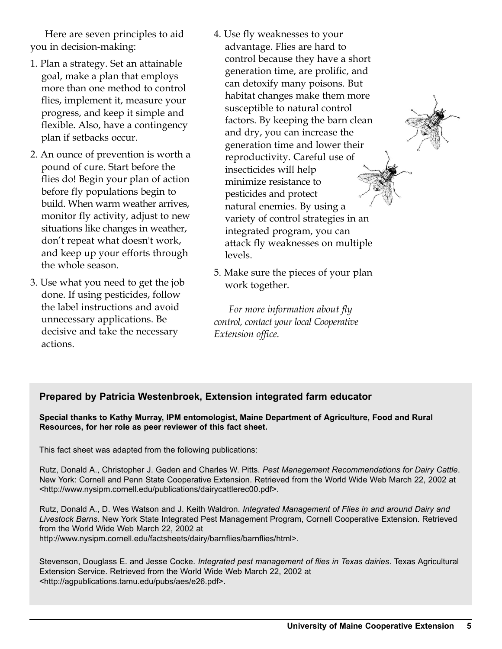Here are seven principles to aid you in decision-making:

- 1. Plan a strategy. Set an attainable goal, make a plan that employs more than one method to control flies, implement it, measure your progress, and keep it simple and flexible. Also, have a contingency plan if setbacks occur.
- 2. An ounce of prevention is worth a pound of cure. Start before the flies do! Begin your plan of action before fly populations begin to build. When warm weather arrives, monitor fly activity, adjust to new situations like changes in weather, don't repeat what doesn't work, and keep up your efforts through the whole season.
- 3. Use what you need to get the job done. If using pesticides, follow the label instructions and avoid unnecessary applications. Be decisive and take the necessary actions.
- 4. Use fly weaknesses to your advantage. Flies are hard to control because they have a short generation time, are prolific, and can detoxify many poisons. But habitat changes make them more susceptible to natural control factors. By keeping the barn clean and dry, you can increase the generation time and lower their reproductivity. Careful use of insecticides will help minimize resistance to pesticides and protect natural enemies. By using a variety of control strategies in an integrated program, you can attack fly weaknesses on multiple levels.
- 5. Make sure the pieces of your plan work together.

*For more information about fly control, contact your local Cooperative Extension office.*

#### **Prepared by Patricia Westenbroek, Extension integrated farm educator**

**Special thanks to Kathy Murray, IPM entomologist, Maine Department of Agriculture, Food and Rural Resources, for her role as peer reviewer of this fact sheet.**

This fact sheet was adapted from the following publications:

Rutz, Donald A., Christopher J. Geden and Charles W. Pitts. *Pest Management Recommendations for Dairy Cattle*. New York: Cornell and Penn State Cooperative Extension. Retrieved from the World Wide Web March 22, 2002 at <http://www.nysipm.cornell.edu/publications/dairycattlerec00.pdf>.

Rutz, Donald A., D. Wes Watson and J. Keith Waldron. *Integrated Management of Flies in and around Dairy and Livestock Barns*. New York State Integrated Pest Management Program, Cornell Cooperative Extension. Retrieved from the World Wide Web March 22, 2002 at http://www.nysipm.cornell.edu/factsheets/dairy/barnflies/barnflies/html>.

Stevenson, Douglass E. and Jesse Cocke. *Integrated pest management of flies in Texas dairies*. Texas Agricultural Extension Service. Retrieved from the World Wide Web March 22, 2002 at <http://agpublications.tamu.edu/pubs/aes/e26.pdf>.